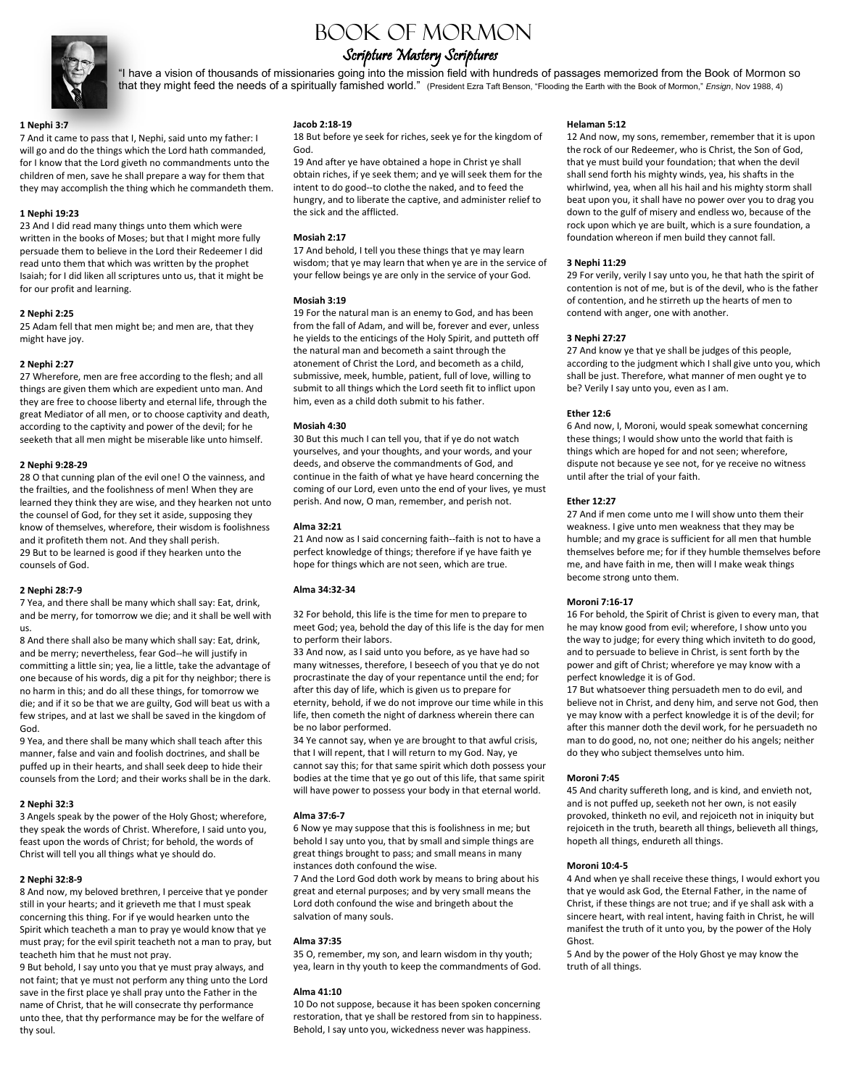

# Book of Mormon

# Scripture Mastery Scriptures

"I have a vision of thousands of missionaries going into the mission field with hundreds of passages memorized from the Book of Mormon so that they might feed the needs of a spiritually famished world." (President Ezra Taft Benson, "Flooding the Earth with the Book of Mormon," *Ensign*, Nov 1988, 4)

#### **1 Nephi 3:7**

7 And it came to pass that I, Nephi, said unto my father: I will go and do the things which the Lord hath commanded, for I know that the Lord giveth no commandments unto the children of men, save he shall prepare a way for them that they may accomplish the thing which he commandeth them.

#### **1 Nephi 19:23**

23 And I did read many things unto them which were written in the books of Moses; but that I might more fully persuade them to believe in the Lord their Redeemer I did read unto them that which was written by the prophet Isaiah; for I did liken all scriptures unto us, that it might be for our profit and learning.

#### **2 Nephi 2:25**

25 Adam fell that men might be; and men are, that they might have joy.

#### **2 Nephi 2:27**

27 Wherefore, men are free according to the flesh; and all things are given them which are expedient unto man. And they are free to choose liberty and eternal life, through the great Mediator of all men, or to choose captivity and death, according to the captivity and power of the devil; for he seeketh that all men might be miserable like unto himself.

#### **2 Nephi 9:28-29**

28 O that cunning plan of the evil one! O the vainness, and the frailties, and the foolishness of men! When they are learned they think they are wise, and they hearken not unto the counsel of God, for they set it aside, supposing they know of themselves, wherefore, their wisdom is foolishness and it profiteth them not. And they shall perish. 29 But to be learned is good if they hearken unto the counsels of God.

#### **2 Nephi 28:7-9**

7 Yea, and there shall be many which shall say: Eat, drink, and be merry, for tomorrow we die; and it shall be well with us.

8 And there shall also be many which shall say: Eat, drink, and be merry; nevertheless, fear God--he will justify in committing a little sin; yea, lie a little, take the advantage of one because of his words, dig a pit for thy neighbor; there is no harm in this; and do all these things, for tomorrow we die; and if it so be that we are guilty, God will beat us with a few stripes, and at last we shall be saved in the kingdom of God.

9 Yea, and there shall be many which shall teach after this manner, false and vain and foolish doctrines, and shall be puffed up in their hearts, and shall seek deep to hide their counsels from the Lord; and their works shall be in the dark.

#### **2 Nephi 32:3**

3 Angels speak by the power of the Holy Ghost; wherefore, they speak the words of Christ. Wherefore, I said unto you, feast upon the words of Christ; for behold, the words of Christ will tell you all things what ye should do.

#### **2 Nephi 32:8-9**

8 And now, my beloved brethren, I perceive that ye ponder still in your hearts; and it grieveth me that I must speak concerning this thing. For if ye would hearken unto the Spirit which teacheth a man to pray ye would know that ye must pray; for the evil spirit teacheth not a man to pray, but teacheth him that he must not pray.

9 But behold, I say unto you that ye must pray always, and not faint; that ye must not perform any thing unto the Lord save in the first place ye shall pray unto the Father in the name of Christ, that he will consecrate thy performance unto thee, that thy performance may be for the welfare of thy soul.

#### **Jacob 2:18-19**

18 But before ye seek for riches, seek ye for the kingdom of God.

19 And after ye have obtained a hope in Christ ye shall obtain riches, if ye seek them; and ye will seek them for the intent to do good--to clothe the naked, and to feed the hungry, and to liberate the captive, and administer relief to the sick and the afflicted.

#### **Mosiah 2:17**

17 And behold, I tell you these things that ye may learn wisdom; that ye may learn that when ye are in the service of your fellow beings ye are only in the service of your God.

#### **Mosiah 3:19**

19 For the natural man is an enemy to God, and has been from the fall of Adam, and will be, forever and ever, unless he yields to the enticings of the Holy Spirit, and putteth off the natural man and becometh a saint through the atonement of Christ the Lord, and becometh as a child, submissive, meek, humble, patient, full of love, willing to submit to all things which the Lord seeth fit to inflict upon him, even as a child doth submit to his father.

#### **Mosiah 4:30**

30 But this much I can tell you, that if ye do not watch yourselves, and your thoughts, and your words, and your deeds, and observe the commandments of God, and continue in the faith of what ye have heard concerning the coming of our Lord, even unto the end of your lives, ye must perish. And now, O man, remember, and perish not.

#### **Alma 32:21**

21 And now as I said concerning faith--faith is not to have a perfect knowledge of things; therefore if ye have faith ye hope for things which are not seen, which are true.

#### **Alma 34:32-34**

32 For behold, this life is the time for men to prepare to meet God; yea, behold the day of this life is the day for men to perform their labors.

33 And now, as I said unto you before, as ye have had so many witnesses, therefore, I beseech of you that ye do not procrastinate the day of your repentance until the end; for after this day of life, which is given us to prepare for eternity, behold, if we do not improve our time while in this life, then cometh the night of darkness wherein there can be no labor performed.

34 Ye cannot say, when ye are brought to that awful crisis, that I will repent, that I will return to my God. Nay, ye cannot say this; for that same spirit which doth possess your bodies at the time that ye go out of this life, that same spirit will have power to possess your body in that eternal world.

#### **Alma 37:6-7**

6 Now ye may suppose that this is foolishness in me; but behold I say unto you, that by small and simple things are great things brought to pass; and small means in many instances doth confound the wise.

7 And the Lord God doth work by means to bring about his great and eternal purposes; and by very small means the Lord doth confound the wise and bringeth about the salvation of many souls.

#### **Alma 37:35**

35 O, remember, my son, and learn wisdom in thy youth; yea, learn in thy youth to keep the commandments of God.

#### **Alma 41:10**

10 Do not suppose, because it has been spoken concerning restoration, that ye shall be restored from sin to happiness. Behold, I say unto you, wickedness never was happiness.

#### **Helaman 5:12**

12 And now, my sons, remember, remember that it is upon the rock of our Redeemer, who is Christ, the Son of God, that ye must build your foundation; that when the devil shall send forth his mighty winds, yea, his shafts in the whirlwind, yea, when all his hail and his mighty storm shall beat upon you, it shall have no power over you to drag you down to the gulf of misery and endless wo, because of the rock upon which ye are built, which is a sure foundation, a foundation whereon if men build they cannot fall.

#### **3 Nephi 11:29**

29 For verily, verily I say unto you, he that hath the spirit of contention is not of me, but is of the devil, who is the father of contention, and he stirreth up the hearts of men to contend with anger, one with another.

#### **3 Nephi 27:27**

27 And know ye that ye shall be judges of this people, according to the judgment which I shall give unto you, which shall be just. Therefore, what manner of men ought ye to be? Verily I say unto you, even as I am.

#### **Ether 12:6**

6 And now, I, Moroni, would speak somewhat concerning these things; I would show unto the world that faith is things which are hoped for and not seen; wherefore, dispute not because ye see not, for ye receive no witness until after the trial of your faith.

#### **Ether 12:27**

27 And if men come unto me I will show unto them their weakness. I give unto men weakness that they may be humble; and my grace is sufficient for all men that humble themselves before me; for if they humble themselves before me, and have faith in me, then will I make weak things become strong unto them.

#### **Moroni 7:16-17**

16 For behold, the Spirit of Christ is given to every man, that he may know good from evil; wherefore, I show unto you the way to judge; for every thing which inviteth to do good, and to persuade to believe in Christ, is sent forth by the power and gift of Christ; wherefore ye may know with a perfect knowledge it is of God.

17 But whatsoever thing persuadeth men to do evil, and believe not in Christ, and deny him, and serve not God, then ye may know with a perfect knowledge it is of the devil; for after this manner doth the devil work, for he persuadeth no man to do good, no, not one; neither do his angels; neither do they who subject themselves unto him.

#### **Moroni 7:45**

45 And charity suffereth long, and is kind, and envieth not, and is not puffed up, seeketh not her own, is not easily provoked, thinketh no evil, and rejoiceth not in iniquity but rejoiceth in the truth, beareth all things, believeth all things, hopeth all things, endureth all things.

#### **Moroni 10:4-5**

4 And when ye shall receive these things, I would exhort you that ye would ask God, the Eternal Father, in the name of Christ, if these things are not true; and if ye shall ask with a sincere heart, with real intent, having faith in Christ, he will manifest the truth of it unto you, by the power of the Holy Ghost.

5 And by the power of the Holy Ghost ye may know the truth of all things.